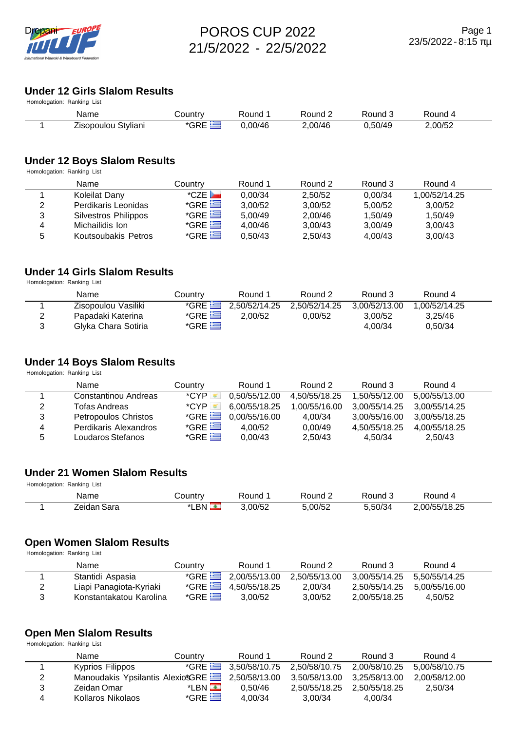

#### **Under 12 Girls Slalom Results** Homologation: Ranking List

| HUITIUIUU AIIUTTI. KAITKIITU LISL |                     |         |         |         |         |         |  |  |  |  |
|-----------------------------------|---------------------|---------|---------|---------|---------|---------|--|--|--|--|
|                                   | Name                | Country | Round   | Round 2 | Round 3 | Round 4 |  |  |  |  |
|                                   | Zisopoulou Styliani | *GRE    | 0.00/46 | 2,00/46 | 0,50/49 | 2,00/52 |  |  |  |  |

# **Under 12 Boys Slalom Results**

Homologation: Ranking List

|   | Name                 | Countrv          | Round 1 | Round 2 | Round 3 | Round 4       |  |
|---|----------------------|------------------|---------|---------|---------|---------------|--|
|   | Koleilat Dany        | $^{\star}$ CZE   | 0.00/34 | 2.50/52 | 0,00/34 | 1.00/52/14.25 |  |
| 2 | Perdikaris Leonidas  | $*$ GRE $\equiv$ | 3.00/52 | 3,00/52 | 5.00/52 | 3.00/52       |  |
| 3 | Silvestros Philippos | $*$ GRE $\equiv$ | 5.00/49 | 2.00/46 | 1.50/49 | 1.50/49       |  |
| 4 | Michailidis Ion      | $*$ GRE $\equiv$ | 4.00/46 | 3.00/43 | 3.00/49 | 3.00/43       |  |
| 5 | Koutsoubakis Petros  | $*$ GRE $\equiv$ | 0.50/43 | 2,50/43 | 4.00/43 | 3.00/43       |  |

# **Under 14 Girls Slalom Results**

Homologation: Ranking List

|   | Name                | Country          | Round 1                              | Round 2       | Round 3       | Round 4       |  |
|---|---------------------|------------------|--------------------------------------|---------------|---------------|---------------|--|
|   | Zisopoulou Vasiliki |                  | $\sqrt[3]{\text{GRE}}$ 2,50/52/14.25 | 2.50/52/14.25 | 3.00/52/13.00 | 1.00/52/14.25 |  |
| ▃ | Papadaki Katerina   | $*$ GRE $\equiv$ | 2.00/52                              | 0.00/52       | 3.00/52       | 3.25/46       |  |
|   | Glyka Chara Sotiria | *GRE $\equiv$    |                                      |               | 4.00/34       | 0.50/34       |  |

#### **Under 14 Boys Slalom Results**

Homologation: Ranking List

|   | Name                        | Countrv          | Round 1       | Round 2       | Round 3       | Round 4       |  |
|---|-----------------------------|------------------|---------------|---------------|---------------|---------------|--|
|   | Constantinou Andreas        | *CYP.            | 0.50/55/12.00 | 4.50/55/18.25 | 1.50/55/12.00 | 5.00/55/13.00 |  |
| 2 | Tofas Andreas               | *CYP             | 6.00/55/18.25 | 1.00/55/16.00 | 3.00/55/14.25 | 3.00/55/14.25 |  |
| 3 | <b>Petropoulos Christos</b> | $*$ GRE $\equiv$ | 0,00/55/16.00 | 4.00/34       | 3.00/55/16.00 | 3.00/55/18.25 |  |
| 4 | Perdikaris Alexandros       | $*$ GRE $\Xi$    | 4.00/52       | 0.00/49       | 4.50/55/18.25 | 4.00/55/18.25 |  |
| 5 | Loudaros Stefanos           | $*$ GRE $\equiv$ | 0.00/43       | 2.50/43       | 4.50/34       | 2.50/43       |  |

# **Under 21 Women Slalom Results**

Homologation: Ranking List

| Name           | こountry    | Round  | – Round ∠ | Round J  | Pound 4     |  |
|----------------|------------|--------|-----------|----------|-------------|--|
| Sara<br>′eidan | ∟BN<br>* 1 | .00/52 | .00/52    | -50/34,د | 00/55/18.25 |  |

### **Open Women Slalom Results**

Homologation: Ranking List

| Name                    | Country | Round 1                     | Round 2       | Round 3       | Round 4       |  |
|-------------------------|---------|-----------------------------|---------------|---------------|---------------|--|
| Stantidi Aspasia        |         | *GRE $2,00/55/13.00$        | 2.50/55/13.00 | 3.00/55/14.25 | 5.50/55/14.25 |  |
| Liapi Panagiota-Kyriaki |         | *GRE $\equiv$ 4,50/55/18.25 | 2.00/34       | 2.50/55/14.25 | 5.00/55/16.00 |  |
| Konstantakatou Karolina | $*GRE$  | 3.00/52                     | 3.00/52       | 2.00/55/18.25 | 4.50/52       |  |

# **Open Men Slalom Results**

Homologation: Ranking List

 $\overline{\phantom{a}}$ 

|   | Name                                           | Country                | Round 1 | Round 2                                        | Round 3 | Round 4       |  |
|---|------------------------------------------------|------------------------|---------|------------------------------------------------|---------|---------------|--|
|   | Kyprios Filippos                               |                        |         | *GRE 3,50/58/10.75 2,50/58/10.75 2,00/58/10.25 |         | 5.00/58/10.75 |  |
|   | Manoudakis Ypsilantis AlexiotGRE 2,50/58/13.00 |                        |         | 3,50/58/13.00 3,25/58/13.00                    |         | 2.00/58/12.00 |  |
|   | Zeidan Omar                                    | $*$ LBN $\blacksquare$ | 0.50/46 | 2.50/55/18.25 2.50/55/18.25                    |         | 2.50/34       |  |
| 4 | Kollaros Nikolaos                              | $*$ GRE $\equiv$       | 4.00/34 | 3.00/34                                        | 4.00/34 |               |  |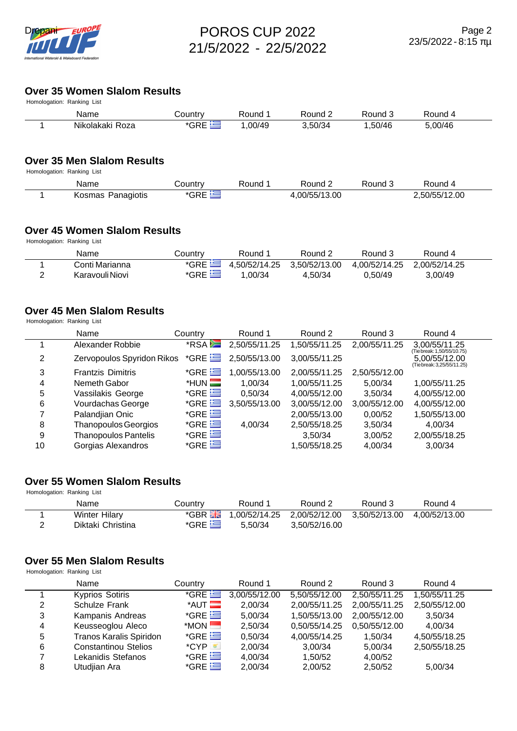

# **Over 35 Women Slalom Results**

| Homologation: Ranking List |                 |         |                    |         |         |         |  |  |  |  |
|----------------------------|-----------------|---------|--------------------|---------|---------|---------|--|--|--|--|
|                            | Name            | Country | Round <sup>.</sup> | Round 2 | Round 5 | Round 4 |  |  |  |  |
|                            | Nikolakaki Roza | *GRE    | .00/49             | 3.50/34 | .50/46  | 5,00/46 |  |  |  |  |

#### **Over 35 Men Slalom Results**

Homologation: Ranking List

| Name              | こountry | Round | Round $\sim$ | Round 3 | Round 4       |  |
|-------------------|---------|-------|--------------|---------|---------------|--|
| Kosmas Panagiotis | 'GRE    |       | .00/55/13.00 |         | 2,50/55/12.00 |  |

#### **Over 45 Women Slalom Results**

Homologation: Ranking List

|   | Name            | Country | Round 1 | Round 2                                   | Round 3       | Round 4       |  |
|---|-----------------|---------|---------|-------------------------------------------|---------------|---------------|--|
|   | Conti Marianna  |         |         | *GRE $\equiv$ 4,50/52/14.25 3,50/52/13.00 | 4.00/52/14.25 | 2.00/52/14.25 |  |
| - | Karavouli Niovi | $*$ GRE | .00/34  | 4.50/34                                   | 0.50/49       | 3.00/49       |  |

# **Over 45 Men Slalom Results**

Homologation: Ranking List

|    | Name                        | Country                | Round 1       | Round 2       | Round 3       | Round 4                                     |
|----|-----------------------------|------------------------|---------------|---------------|---------------|---------------------------------------------|
|    | Alexander Robbie            | *RSA                   | 2,50/55/11.25 | 1,50/55/11.25 | 2,00/55/11.25 | 3,00/55/11.25<br>(Tie break: 1,50/55/10.75) |
| 2  | Zervopoulos Spyridon Rikos  | $*$ GRE $\equiv$       | 2,50/55/13.00 | 3,00/55/11.25 |               | 5,00/55/12.00<br>(Tie break: 3,25/55/11.25) |
| 3  | <b>Frantzis Dimitris</b>    | $*$ GRE $\equiv$       | 1,00/55/13.00 | 2,00/55/11.25 | 2,50/55/12.00 |                                             |
| 4  | Nemeth Gabor                | $*$ HUN $\blacksquare$ | 1,00/34       | 1,00/55/11.25 | 5.00/34       | 1,00/55/11.25                               |
| 5  | Vassilakis George           | $*$ GRE $\equiv$       | 0,50/34       | 4,00/55/12.00 | 3,50/34       | 4,00/55/12.00                               |
| 6  | Vourdachas George           | $*$ GRE $\equiv$       | 3,50/55/13.00 | 3,00/55/12.00 | 3,00/55/12.00 | 4,00/55/12.00                               |
| 7  | Palandjian Onic             | $*$ GRE $\equiv$       |               | 2,00/55/13.00 | 0,00/52       | 1,50/55/13.00                               |
| 8  | <b>Thanopoulos Georgios</b> | $*$ GRE $\equiv$       | 4,00/34       | 2,50/55/18.25 | 3,50/34       | 4.00/34                                     |
| 9  | <b>Thanopoulos Pantelis</b> | $*$ GRE $\equiv$       |               | 3.50/34       | 3,00/52       | 2,00/55/18.25                               |
| 10 | Gorgias Alexandros          | $*$ GRE $\equiv$       |               | 1,50/55/18.25 | 4,00/34       | 3,00/34                                     |

# **Over 55 Women Slalom Results**

Homologation: Ranking List

| Name                 | Country          | Round 1 | Round 2                                                                   | Round 3 | Round 4       |  |
|----------------------|------------------|---------|---------------------------------------------------------------------------|---------|---------------|--|
| <b>Winter Hilary</b> |                  |         | $\overline{GBR}$ $\overline{H}$ 1,00/52/14.25 2,00/52/12.00 3,50/52/13.00 |         | 4.00/52/13.00 |  |
| Diktaki Christina    | $*$ GRE $\equiv$ | 5.50/34 | 3.50/52/16.00                                                             |         |               |  |

#### **Over 55 Men Slalom Results**

Homologation: Ranking List

|   | Name                           | Country                | Round 1       | Round 2       | Round 3       | Round 4       |  |
|---|--------------------------------|------------------------|---------------|---------------|---------------|---------------|--|
|   | <b>Kyprios Sotiris</b>         | $*$ GRE $\equiv$       | 3,00/55/12.00 | 5,50/55/12.00 | 2,50/55/11.25 | 1,50/55/11.25 |  |
| 2 | <b>Schulze Frank</b>           | $*$ AUT $\blacksquare$ | 2.00/34       | 2,00/55/11.25 | 2,00/55/11.25 | 2,50/55/12.00 |  |
| 3 | Kampanis Andreas               | $*$ GRE $\equiv$       | 5,00/34       | 1,50/55/13.00 | 2,00/55/12.00 | 3.50/34       |  |
| 4 | Keusseoglou Aleco              | $*$ MON $\blacksquare$ | 2,50/34       | 0,50/55/14.25 | 0,50/55/12.00 | 4.00/34       |  |
| 5 | <b>Tranos Karalis Spiridon</b> | $*$ GRE $\equiv$       | 0,50/34       | 4,00/55/14.25 | 1.50/34       | 4,50/55/18.25 |  |
| 6 | <b>Constantinou Stelios</b>    | $^{\star}$ CYP         | 2,00/34       | 3,00/34       | 5,00/34       | 2,50/55/18.25 |  |
|   | Lekanidis Stefanos             | $*$ GRE $\equiv$       | 4,00/34       | 1.50/52       | 4,00/52       |               |  |
| 8 | Utudjian Ara                   | $*$ GRE $\equiv$       | 2,00/34       | 2,00/52       | 2,50/52       | 5,00/34       |  |